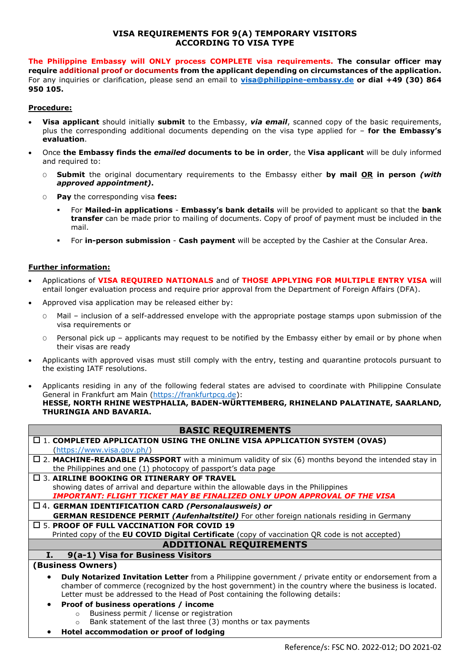## **VISA REQUIREMENTS FOR 9(A) TEMPORARY VISITORS ACCORDING TO VISA TYPE**

**The Philippine Embassy will ONLY process COMPLETE visa requirements. The consular officer may require additional proof or documents from the applicant depending on circumstances of the application.** For any inquiries or clarification, please send an email to **[visa@philippine-embassy.de](mailto:visa@philippine-embassy.de) or dial +49 (30) 864 950 105.**

## **Procedure:**

- **Visa applicant** should initially **submit** to the Embassy, *via email*, scanned copy of the basic requirements, plus the corresponding additional documents depending on the visa type applied for – **for the Embassy's evaluation**.
- Once **the Embassy finds the** *emailed* **documents to be in order**, the **Visa applicant** will be duly informed and required to:
	- O **Submit** the original documentary requirements to the Embassy either **by mail OR in person** *(with approved appointment)***.**
	- O **Pay** the corresponding visa **fees:**
		- For **Mailed-in applications Embassy's bank details** will be provided to applicant so that the **bank transfer** can be made prior to mailing of documents. Copy of proof of payment must be included in the mail.
		- For **in-person submission Cash payment** will be accepted by the Cashier at the Consular Area.

## **Further information:**

- Applications of **VISA REQUIRED NATIONALS** and of **THOSE APPLYING FOR MULTIPLE ENTRY VISA** will entail longer evaluation process and require prior approval from the Department of Foreign Affairs (DFA).
- Approved visa application may be released either by:
	- O Mail inclusion of a self-addressed envelope with the appropriate postage stamps upon submission of the visa requirements or
	- O Personal pick up applicants may request to be notified by the Embassy either by email or by phone when their visas are ready
- Applicants with approved visas must still comply with the entry, testing and quarantine protocols pursuant to the existing IATF resolutions.
- Applicants residing in any of the following federal states are advised to coordinate with Philippine Consulate General in Frankfurt am Main [\(https://frankfurtpcg.de\)](https://frankfurtpcg.de/): **HESSE, NORTH RHINE WESTPHALIA, BADEN-WÜRTTEMBERG, RHINELAND PALATINATE, SAARLAND, THURINGIA AND BAVARIA.**

## **BASIC REQUIREMENTS**

| $\square$ 1. COMPLETED APPLICATION USING THE ONLINE VISA APPLICATION SYSTEM (OVAS)                                                                                                                                                |  |  |
|-----------------------------------------------------------------------------------------------------------------------------------------------------------------------------------------------------------------------------------|--|--|
| (htps://www.visa.gov.php/)                                                                                                                                                                                                        |  |  |
| $\Box$ 2. MACHINE-READABLE PASSPORT with a minimum validity of six (6) months beyond the intended stay in                                                                                                                         |  |  |
| the Philippines and one (1) photocopy of passport's data page                                                                                                                                                                     |  |  |
| $\Box$ 3. AIRLINE BOOKING OR ITINERARY OF TRAVEL                                                                                                                                                                                  |  |  |
| showing dates of arrival and departure within the allowable days in the Philippines                                                                                                                                               |  |  |
| IMPORTANT: FLIGHT TICKET MAY BE FINALIZED ONLY UPON APPROVAL OF THE VISA                                                                                                                                                          |  |  |
| $\Box$ 4. GERMAN IDENTIFICATION CARD (Personalausweis) or                                                                                                                                                                         |  |  |
| <b>GERMAN RESIDENCE PERMIT (Aufenhaltstitel)</b> For other foreign nationals residing in Germany                                                                                                                                  |  |  |
| $\square$ 5. PROOF OF FULL VACCINATION FOR COVID 19                                                                                                                                                                               |  |  |
| Printed copy of the EU COVID Digital Certificate (copy of vaccination QR code is not accepted)                                                                                                                                    |  |  |
| <b>ADDITIONAL REQUIREMENTS</b>                                                                                                                                                                                                    |  |  |
| 9(a-1) Visa for Business Visitors<br>п.                                                                                                                                                                                           |  |  |
| (Business Owners)                                                                                                                                                                                                                 |  |  |
| <b>Duly Notarized Invitation Letter</b> from a Philippine government / private entity or endorsement from a<br>$\bullet$<br>chamber of commerce (recognized by the host government) in the country where the business is located. |  |  |

- Letter must be addressed to the Head of Post containing the following details:
- **Proof of business operations / income**
	- o Business permit / license or registration
	- o Bank statement of the last three (3) months or tax payments
- **Hotel accommodation or proof of lodging**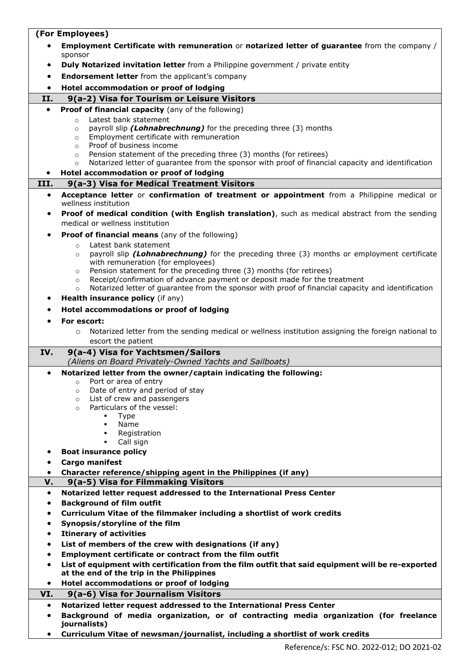|           | (For Employees)                                                                                                                                          |  |  |
|-----------|----------------------------------------------------------------------------------------------------------------------------------------------------------|--|--|
|           | Employment Certificate with remuneration or notarized letter of guarantee from the company /<br>sponsor                                                  |  |  |
| ٠         | <b>Duly Notarized invitation letter</b> from a Philippine government / private entity                                                                    |  |  |
| ٠         | <b>Endorsement letter</b> from the applicant's company                                                                                                   |  |  |
| ٠         | Hotel accommodation or proof of lodging                                                                                                                  |  |  |
| II.       | 9(a-2) Visa for Tourism or Leisure Visitors                                                                                                              |  |  |
| $\bullet$ | Proof of financial capacity (any of the following)                                                                                                       |  |  |
|           | Latest bank statement<br>$\circ$                                                                                                                         |  |  |
|           | payroll slip (Lohnabrechnung) for the preceding three (3) months<br>$\circ$                                                                              |  |  |
|           | Employment certificate with remuneration<br>$\circ$                                                                                                      |  |  |
|           | Proof of business income<br>$\circ$                                                                                                                      |  |  |
|           | Pension statement of the preceding three (3) months (for retirees)<br>$\circ$                                                                            |  |  |
|           | Notarized letter of guarantee from the sponsor with proof of financial capacity and identification<br>$\circ$<br>Hotel accommodation or proof of lodging |  |  |
| III.      | 9(a-3) Visa for Medical Treatment Visitors                                                                                                               |  |  |
|           |                                                                                                                                                          |  |  |
| $\bullet$ | Acceptance letter or confirmation of treatment or appointment from a Philippine medical or<br>wellness institution                                       |  |  |
| $\bullet$ | Proof of medical condition (with English translation), such as medical abstract from the sending<br>medical or wellness institution                      |  |  |
|           |                                                                                                                                                          |  |  |
| $\bullet$ | <b>Proof of financial means</b> (any of the following)                                                                                                   |  |  |
|           | Latest bank statement<br>$\circ$<br>payroll slip <i>(Lohnabrechnung)</i> for the preceding three (3) months or employment certificate<br>$\circ$         |  |  |
|           | with remuneration (for employees)                                                                                                                        |  |  |
|           | Pension statement for the preceding three (3) months (for retirees)<br>$\circ$                                                                           |  |  |
|           | Receipt/confirmation of advance payment or deposit made for the treatment<br>$\circ$                                                                     |  |  |
|           | Notarized letter of guarantee from the sponsor with proof of financial capacity and identification<br>$\circ$                                            |  |  |
|           | Health insurance policy (if any)                                                                                                                         |  |  |
|           | Hotel accommodations or proof of lodging                                                                                                                 |  |  |
|           | For escort:                                                                                                                                              |  |  |
|           | Notarized letter from the sending medical or wellness institution assigning the foreign national to<br>$\circ$<br>escort the patient                     |  |  |
| IV.       | 9(a-4) Visa for Yachtsmen/Sailors                                                                                                                        |  |  |
|           | (Aliens on Board Privately-Owned Yachts and Sailboats)                                                                                                   |  |  |
|           |                                                                                                                                                          |  |  |
| $\bullet$ | Notarized letter from the owner/captain indicating the following:                                                                                        |  |  |
|           | Port or area of entry<br>$\circ$                                                                                                                         |  |  |
|           | Date of entry and period of stay<br>$\circ$                                                                                                              |  |  |
|           | List of crew and passengers<br>$\circ$<br>Particulars of the vessel:<br>$\circ$                                                                          |  |  |
|           | Type<br>٠                                                                                                                                                |  |  |
|           | Name<br>٠                                                                                                                                                |  |  |
|           | Registration<br>٠<br>٠                                                                                                                                   |  |  |
| ٠         | Call sign                                                                                                                                                |  |  |
| ٠         | <b>Boat insurance policy</b><br><b>Cargo manifest</b>                                                                                                    |  |  |
| $\bullet$ |                                                                                                                                                          |  |  |
| V.        | Character reference/shipping agent in the Philippines (if any)<br>9(a-5) Visa for Filmmaking Visitors                                                    |  |  |
| $\bullet$ | Notarized letter request addressed to the International Press Center                                                                                     |  |  |
|           | <b>Background of film outfit</b>                                                                                                                         |  |  |
|           | Curriculum Vitae of the filmmaker including a shortlist of work credits                                                                                  |  |  |
| ٠         | Synopsis/storyline of the film                                                                                                                           |  |  |
| ٠         | <b>Itinerary of activities</b>                                                                                                                           |  |  |
| ٠         | List of members of the crew with designations (if any)                                                                                                   |  |  |
| ٠         | Employment certificate or contract from the film outfit                                                                                                  |  |  |
| $\bullet$ | List of equipment with certification from the film outfit that said equipment will be re-exported                                                        |  |  |
|           | at the end of the trip in the Philippines                                                                                                                |  |  |
| ٠         | Hotel accommodations or proof of lodging                                                                                                                 |  |  |
| VI.       | 9(a-6) Visa for Journalism Visitors                                                                                                                      |  |  |
| $\bullet$ | Notarized letter request addressed to the International Press Center                                                                                     |  |  |
| ٠         | Background of media organization, or of contracting media organization (for freelance<br>journalists)                                                    |  |  |

h